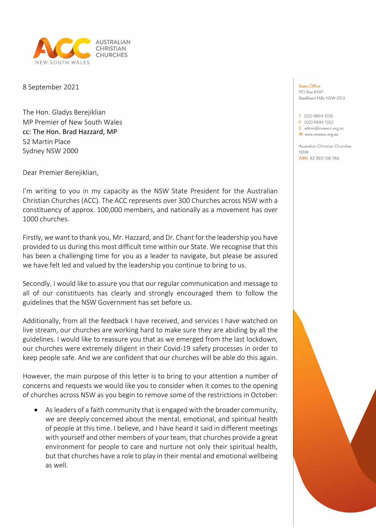

8 September 2021

The Hon. Gladys Berejiklian MP Premier of New South Wales cc: The Hon. Brad Hazzard, MP 52 Martin Place Sydney NSW 2000

Dear Premier Berejiklian,

I'm writing to you in my capacity as the NSW State President for the Australian Christian Churches (ACC). The ACC represents over 300 Churches across NSW with a constituency of approx. 100,000 members, and nationally as a movement has over 1000 churches.

Firstly, we want to thank you, Mr. Hazzard, and Dr. Chant for the leadership you have provided to us during this most difficult time within our State. We recognise that this has been a challenging time for you as a leader to navigate, but please be assured we have felt led and valued by the leadership you continue to bring to us.

Secondly, I would like to assure you that our regular communication and message to all of our constituents has clearly and strongly encouraged them to follow the guidelines that the NSW Government has set before us.

Additionally, from all the feedback I have received, and services I have watched on live stream, our churches are working hard to make sure they are abiding by all the guidelines. I would like to reassure you that as we emerged from the last lockdown, our churches were extremely diligent in their Covid-19 safety processes in order to keep people safe. And we are confident that our churches will be able do this again.

However, the main purpose of this letter is to bring to your attention a number of concerns and requests we would like you to consider when it comes to the opening of churches across NSW as you begin to remove some of the restrictions in October:

As leaders of a faith community that is engaged with the broader community, we are deeply concerned about the mental, emotional, and spiritual health of people at this time. I believe, and I have heard it said in different meetings with yourself and other members of your team, that churches provide a great environment for people to care and nurture not only their spiritual health, but that churches have a role to play in their mental and emotional wellbeing as well.

## State Office

PO Box 6747 Baulkham Hills NSW 2153

T (02) 9894 1555 F (02) 9894 1552  $E$  admin@nswacc.org.au W www.nswacc.org.au

Australian Christian Churches **NSW** ABN 82 390 106 766